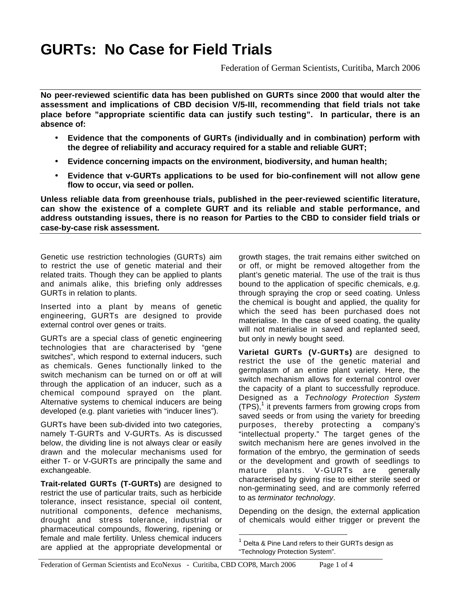# **GURTs: No Case for Field Trials**

Federation of German Scientists, Curitiba, March 2006

**No peer-reviewed scientific data has been published on GURTs since 2000 that would alter the assessment and implications of CBD decision V/5-III, recommending that field trials not take place before "appropriate scientific data can justify such testing". In particular, there is an absence of:**

- **Evidence that the components of GURTs (individually and in combination) perform with the degree of reliability and accuracy required for a stable and reliable GURT;**
- **Evidence concerning impacts on the environment, biodiversity, and human health;**
- **Evidence that v-GURTs applications to be used for bio-confinement will not allow gene flow to occur, via seed or pollen.**

**Unless reliable data from greenhouse trials, published in the peer-reviewed scientific literature, can show the existence of a complete GURT and its reliable and stable performance, and address outstanding issues, there is no reason for Parties to the CBD to consider field trials or case-by-case risk assessment.**

Genetic use restriction technologies (GURTs) aim to restrict the use of genetic material and their related traits. Though they can be applied to plants and animals alike, this briefing only addresses GURTs in relation to plants.

Inserted into a plant by means of genetic engineering, GURTs are designed to provide external control over genes or traits.

GURTs are a special class of genetic engineering technologies that are characterised by "gene switches", which respond to external inducers, such as chemicals. Genes functionally linked to the switch mechanism can be turned on or off at will through the application of an inducer, such as a chemical compound sprayed on the plant. Alternative systems to chemical inducers are being developed (e.g. plant varieties with "inducer lines").

GURTs have been sub-divided into two categories, namely T-GURTs and V-GURTs. As is discussed below, the dividing line is not always clear or easily drawn and the molecular mechanisms used for either T- or V-GURTs are principally the same and exchangeable.

**Trait-related GURTs (T-GURTs)** are designed to restrict the use of particular traits, such as herbicide tolerance, insect resistance, special oil content, nutritional components, defence mechanisms, drought and stress tolerance, industrial or pharmaceutical compounds, flowering, ripening or female and male fertility. Unless chemical inducers are applied at the appropriate developmental or growth stages, the trait remains either switched on or off, or might be removed altogether from the plant's genetic material. The use of the trait is thus bound to the application of specific chemicals, e.g. through spraying the crop or seed coating. Unless the chemical is bought and applied, the quality for which the seed has been purchased does not materialise. In the case of seed coating, the quality will not materialise in saved and replanted seed, but only in newly bought seed.

**Varietal GURTs (V-GURTs)** are designed to restrict the use of the genetic material and germplasm of an entire plant variety. Here, the switch mechanism allows for external control over the capacity of a plant to successfully reproduce. Designed as a *Technology Protection System*  $(TPS)$ ,<sup>1</sup> it prevents farmers from growing crops from saved seeds or from using the variety for breeding purposes, thereby protecting a company's "intellectual property." The target genes of the switch mechanism here are genes involved in the formation of the embryo, the germination of seeds or the development and growth of seedlings to mature plants. V-GURTs are generally characterised by giving rise to either sterile seed or non-germinating seed, and are commonly referred to as *terminator technology*.

Depending on the design, the external application of chemicals would either trigger or prevent the

 $1$  Delta & Pine Land refers to their GURTs design as "Technology Protection System".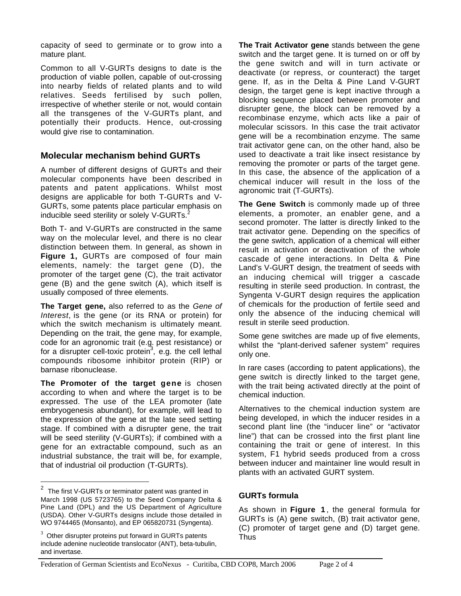capacity of seed to germinate or to grow into a mature plant.

Common to all V-GURTs designs to date is the production of viable pollen, capable of out-crossing into nearby fields of related plants and to wild relatives. Seeds fertilised by such pollen, irrespective of whether sterile or not, would contain all the transgenes of the V-GURTs plant, and potentially their products. Hence, out-crossing would give rise to contamination.

## **Molecular mechanism behind GURTs**

A number of different designs of GURTs and their molecular components have been described in patents and patent applications. Whilst most designs are applicable for both T-GURTs and V-GURTs, some patents place particular emphasis on inducible seed sterility or solely V-GURTs.<sup>2</sup>

Both T- and V-GURTs are constructed in the same way on the molecular level, and there is no clear distinction between them. In general, as shown in **Figure 1,** GURTs are composed of four main elements, namely: the target gene (D), the promoter of the target gene (C), the trait activator gene (B) and the gene switch (A), which itself is usually composed of three elements.

**The Target gene,** also referred to as the *Gene of Interest*, is the gene (or its RNA or protein) for which the switch mechanism is ultimately meant. Depending on the trait, the gene may, for example, code for an agronomic trait (e.g. pest resistance) or for a disrupter cell-toxic protein<sup>3</sup>, e.g. the cell lethal compounds ribosome inhibitor protein (RIP) or barnase ribonuclease.

**The Promoter of the target gene** is chosen according to when and where the target is to be expressed. The use of the LEA promoter (late embryogenesis abundant), for example, will lead to the expression of the gene at the late seed setting stage. If combined with a disrupter gene, the trait will be seed sterility (V-GURTs); if combined with a gene for an extractable compound, such as an industrial substance, the trait will be, for example, that of industrial oil production (T-GURTs).

**The Trait Activator gene** stands between the gene switch and the target gene. It is turned on or off by the gene switch and will in turn activate or deactivate (or repress, or counteract) the target gene. If, as in the Delta & Pine Land V-GURT design, the target gene is kept inactive through a blocking sequence placed between promoter and disrupter gene, the block can be removed by a recombinase enzyme, which acts like a pair of molecular scissors. In this case the trait activator gene will be a recombination enzyme. The same trait activator gene can, on the other hand, also be used to deactivate a trait like insect resistance by removing the promoter or parts of the target gene. In this case, the absence of the application of a chemical inducer will result in the loss of the agronomic trait (T-GURTs).

**The Gene Switch** is commonly made up of three elements, a promoter, an enabler gene, and a second promoter. The latter is directly linked to the trait activator gene. Depending on the specifics of the gene switch, application of a chemical will either result in activation or deactivation of the whole cascade of gene interactions. In Delta & Pine Land's V-GURT design, the treatment of seeds with an inducing chemical will trigger a cascade resulting in sterile seed production. In contrast, the Syngenta V-GURT design requires the application of chemicals for the production of fertile seed and only the absence of the inducing chemical will result in sterile seed production.

Some gene switches are made up of five elements, whilst the "plant-derived safener system" requires only one.

In rare cases (according to patent applications), the gene switch is directly linked to the target gene, with the trait being activated directly at the point of chemical induction.

Alternatives to the chemical induction system are being developed, in which the inducer resides in a second plant line (the "inducer line" or "activator line") that can be crossed into the first plant line containing the trait or gene of interest. In this system, F1 hybrid seeds produced from a cross between inducer and maintainer line would result in plants with an activated GURT system.

#### **GURTs formula**

As shown in **Figure 1** , the general formula for GURTs is (A) gene switch, (B) trait activator gene, (C) promoter of target gene and (D) target gene. Thus

 $2$  The first V-GURTs or terminator patent was granted in March 1998 (US 5723765) to the Seed Company Delta & Pine Land (DPL) and the US Department of Agriculture (USDA). Other V-GURTs designs include those detailed in WO 9744465 (Monsanto), and EP 065820731 (Syngenta).

 $3$  Other disrupter proteins put forward in GURTs patents include adenine nucleotide translocator (ANT), beta-tubulin, and invertase.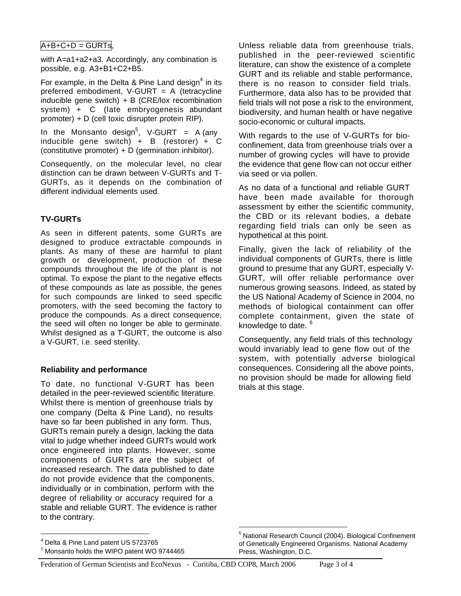# $A+B+C+D = GURTS$

with A=a1+a2+a3. Accordingly, any combination is possible, e.g. A3+B1+C2+B5.

For example, in the Delta & Pine Land design<sup>4</sup> in its preferred embodiment, V-GURT = A (tetracycline inducible gene switch)  $+ B$  (CRE/lox recombination system) + C (late embryogenesis abundant promoter) + D (cell toxic disrupter protein RIP).

In the Monsanto design<sup>5</sup>, V-GURT = A (any inducible gene switch) + B (restorer) +  $C$ (constitutive promoter) +  $D$  (germination inhibitor).

Consequently, on the molecular level, no clear distinction can be drawn between V-GURTs and T-GURTs, as it depends on the combination of different individual elements used.

### **TV-GURTs**

As seen in different patents, some GURTs are designed to produce extractable compounds in plants. As many of these are harmful to plant growth or development, production of these compounds throughout the life of the plant is not optimal. To expose the plant to the negative effects of these compounds as late as possible, the genes for such compounds are linked to seed specific promoters, with the seed becoming the factory to produce the compounds. As a direct consequence, the seed will often no longer be able to germinate. Whilst designed as a T-GURT, the outcome is also a V-GURT, i.e. seed sterility.

#### **Reliability and performance**

To date, no functional V-GURT has been detailed in the peer-reviewed scientific literature. Whilst there is mention of greenhouse trials by one company (Delta & Pine Land), no results have so far been published in any form. Thus, GURTs remain purely a design, lacking the data vital to judge whether indeed GURTs would work once engineered into plants. However, some components of GURTs are the subject of increased research. The data published to date do not provide evidence that the components, individually or in combination, perform with the degree of reliability or accuracy required for a stable and reliable GURT. The evidence is rather to the contrary.

Unless reliable data from greenhouse trials, published in the peer-reviewed scientific literature, can show the existence of a complete GURT and its reliable and stable performance, there is no reason to consider field trials. Furthermore, data also has to be provided that field trials will not pose a risk to the environment, biodiversity, and human health or have negative socio-economic or cultural impacts.

With regards to the use of V-GURTs for bioconfinement, data from greenhouse trials over a number of growing cycles will have to provide the evidence that gene flow can not occur either via seed or via pollen.

As no data of a functional and reliable GURT have been made available for thorough assessment by either the scientific community, the CBD or its relevant bodies, a debate regarding field trials can only be seen as hypothetical at this point.

Finally, given the lack of reliability of the individual components of GURTs, there is little ground to presume that any GURT, especially V-GURT, will offer reliable performance over numerous growing seasons. Indeed, as stated by the US National Academy of Science in 2004, no methods of biological containment can offer complete containment, given the state of knowledge to date. <sup>6</sup>

Consequently, any field trials of this technology would invariably lead to gene flow out of the system, with potentially adverse biological consequences. Considering all the above points, no provision should be made for allowing field trials at this stage.

 $<sup>4</sup>$  Delta & Pine Land patent US 5723765</sup>

<sup>5</sup> Monsanto holds the WIPO patent WO 9744465

 $6$  National Research Council (2004). Biological Confinement of Genetically Engineered Organisms. National Academy Press, Washington, D.C.